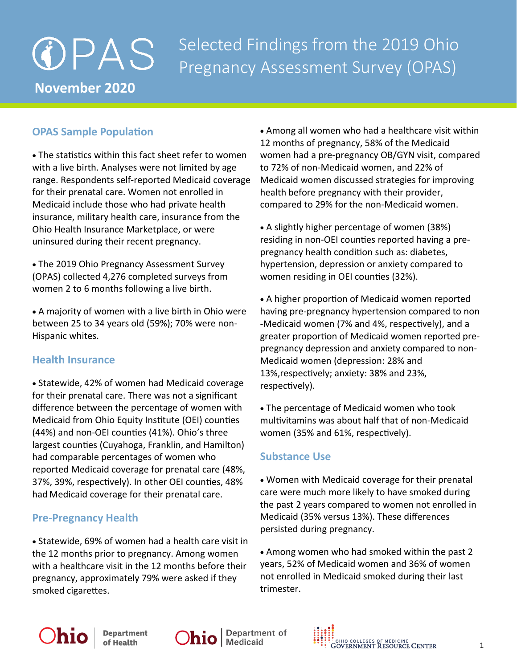## **OPAS November 2020**

## Selected Findings from the 2019 Ohio Pregnancy Assessment Survey (OPAS)

#### **OPAS Sample Population**

 The statistics within this fact sheet refer to women with a live birth. Analyses were not limited by age range. Respondents self-reported Medicaid coverage for their prenatal care. Women not enrolled in Medicaid include those who had private health insurance, military health care, insurance from the Ohio Health Insurance Marketplace, or were uninsured during their recent pregnancy.

 The 2019 Ohio Pregnancy Assessment Survey (OPAS) collected 4,276 completed surveys from women 2 to 6 months following a live birth.

 A majority of women with a live birth in Ohio were between 25 to 34 years old (59%); 70% were non-Hispanic whites.

#### **Health Insurance**

 Statewide, 42% of women had Medicaid coverage for their prenatal care. There was not a significant difference between the percentage of women with Medicaid from Ohio Equity Institute (OEI) counties (44%) and non-OEI counties (41%). Ohio's three largest counties (Cuyahoga, Franklin, and Hamilton) had comparable percentages of women who reported Medicaid coverage for prenatal care (48%, 37%, 39%, respectively). In other OEI counties, 48% had Medicaid coverage for their prenatal care.

#### **Pre-Pregnancy Health**

 Statewide, 69% of women had a health care visit in the 12 months prior to pregnancy. Among women with a healthcare visit in the 12 months before their pregnancy, approximately 79% were asked if they smoked cigarettes.

 Among all women who had a healthcare visit within 12 months of pregnancy, 58% of the Medicaid women had a pre-pregnancy OB/GYN visit, compared to 72% of non-Medicaid women, and 22% of Medicaid women discussed strategies for improving health before pregnancy with their provider, compared to 29% for the non-Medicaid women.

 A slightly higher percentage of women (38%) residing in non-OEI counties reported having a prepregnancy health condition such as: diabetes, hypertension, depression or anxiety compared to women residing in OEI counties (32%).

 A higher proportion of Medicaid women reported having pre-pregnancy hypertension compared to non -Medicaid women (7% and 4%, respectively), and a greater proportion of Medicaid women reported prepregnancy depression and anxiety compared to non-Medicaid women (depression: 28% and 13%,respectively; anxiety: 38% and 23%, respectively).

 The percentage of Medicaid women who took multivitamins was about half that of non-Medicaid women (35% and 61%, respectively).

#### **Substance Use**

 Women with Medicaid coverage for their prenatal care were much more likely to have smoked during the past 2 years compared to women not enrolled in Medicaid (35% versus 13%). These differences persisted during pregnancy.

 Among women who had smoked within the past 2 years, 52% of Medicaid women and 36% of women not enrolled in Medicaid smoked during their last trimester.



**Department** 



Ohio Medicaid

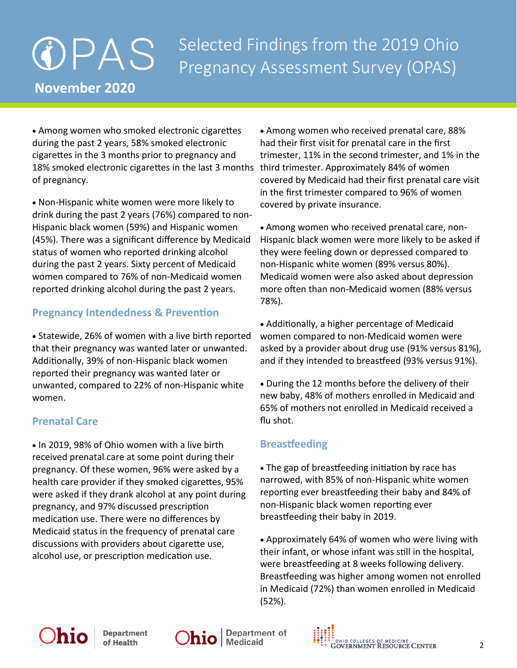# **OPAS**

## Selected Findings from the 2019 Ohio Pregnancy Assessment Survey (OPAS)

#### **November 2020**

 Among women who smoked electronic cigarettes during the past 2 years, 58% smoked electronic cigarettes in the 3 months prior to pregnancy and 18% smoked electronic cigarettes in the last 3 months of pregnancy.

 Non-Hispanic white women were more likely to drink during the past 2 years (76%) compared to non-Hispanic black women (59%) and Hispanic women (45%). There was a significant difference by Medicaid status of women who reported drinking alcohol during the past 2 years. Sixty percent of Medicaid women compared to 76% of non-Medicaid women reported drinking alcohol during the past 2 years.

#### **Pregnancy Intendedness & Prevention**

 Statewide, 26% of women with a live birth reported that their pregnancy was wanted later or unwanted. Additionally, 39% of non-Hispanic black women reported their pregnancy was wanted later or unwanted, compared to 22% of non-Hispanic white women.

#### **Prenatal Care**

• In 2019, 98% of Ohio women with a live birth received prenatal care at some point during their pregnancy. Of these women, 96% were asked by a health care provider if they smoked cigarettes, 95% were asked if they drank alcohol at any point during pregnancy, and 97% discussed prescription medication use. There were no differences by Medicaid status in the frequency of prenatal care discussions with providers about cigarette use, alcohol use, or prescription medication use.

 Among women who received prenatal care, 88% had their first visit for prenatal care in the first trimester, 11% in the second trimester, and 1% in the third trimester. Approximately 84% of women covered by Medicaid had their first prenatal care visit in the first trimester compared to 96% of women covered by private insurance.

 Among women who received prenatal care, non-Hispanic black women were more likely to be asked if they were feeling down or depressed compared to non-Hispanic white women (89% versus 80%). Medicaid women were also asked about depression more often than non-Medicaid women (88% versus 78%).

 Additionally, a higher percentage of Medicaid women compared to non-Medicaid women were asked by a provider about drug use (91% versus 81%), and if they intended to breastfeed (93% versus 91%).

 During the 12 months before the delivery of their new baby, 48% of mothers enrolled in Medicaid and 65% of mothers not enrolled in Medicaid received a flu shot.

#### **Breastfeeding**

 The gap of breastfeeding initiation by race has narrowed, with 85% of non-Hispanic white women reporting ever breastfeeding their baby and 84% of non-Hispanic black women reporting ever breastfeeding their baby in 2019.

 Approximately 64% of women who were living with their infant, or whose infant was still in the hospital, were breastfeeding at 8 weeks following delivery. Breastfeeding was higher among women not enrolled in Medicaid (72%) than women enrolled in Medicaid (52%).

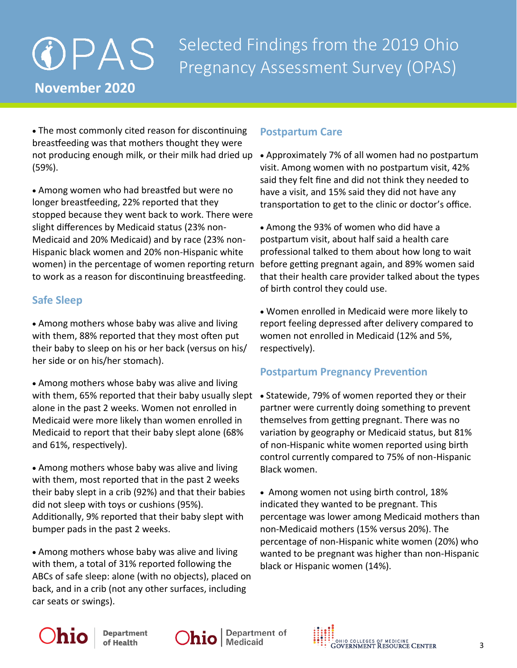# **OPAS**

#### **November 2020**

### Selected Findings from the 2019 Ohio Pregnancy Assessment Survey (OPAS)

 The most commonly cited reason for discontinuing breastfeeding was that mothers thought they were not producing enough milk, or their milk had dried up (59%).

 Among women who had breastfed but were no longer breastfeeding, 22% reported that they stopped because they went back to work. There were slight differences by Medicaid status (23% non-Medicaid and 20% Medicaid) and by race (23% non-Hispanic black women and 20% non-Hispanic white women) in the percentage of women reporting return to work as a reason for discontinuing breastfeeding.

#### **Safe Sleep**

 Among mothers whose baby was alive and living with them, 88% reported that they most often put their baby to sleep on his or her back (versus on his/ her side or on his/her stomach).

 Among mothers whose baby was alive and living with them, 65% reported that their baby usually slept alone in the past 2 weeks. Women not enrolled in Medicaid were more likely than women enrolled in Medicaid to report that their baby slept alone (68% and 61%, respectively).

 Among mothers whose baby was alive and living with them, most reported that in the past 2 weeks their baby slept in a crib (92%) and that their babies did not sleep with toys or cushions (95%). Additionally, 9% reported that their baby slept with bumper pads in the past 2 weeks.

 Among mothers whose baby was alive and living with them, a total of 31% reported following the ABCs of safe sleep: alone (with no objects), placed on back, and in a crib (not any other surfaces, including car seats or swings).

#### **Postpartum Care**

 Approximately 7% of all women had no postpartum visit. Among women with no postpartum visit, 42% said they felt fine and did not think they needed to have a visit, and 15% said they did not have any transportation to get to the clinic or doctor's office.

 Among the 93% of women who did have a postpartum visit, about half said a health care professional talked to them about how long to wait before getting pregnant again, and 89% women said that their health care provider talked about the types of birth control they could use.

 Women enrolled in Medicaid were more likely to report feeling depressed after delivery compared to women not enrolled in Medicaid (12% and 5%, respectively).

#### **Postpartum Pregnancy Prevention**

 Statewide, 79% of women reported they or their partner were currently doing something to prevent themselves from getting pregnant. There was no variation by geography or Medicaid status, but 81% of non-Hispanic white women reported using birth control currently compared to 75% of non-Hispanic Black women.

 Among women not using birth control, 18% indicated they wanted to be pregnant. This percentage was lower among Medicaid mothers than non-Medicaid mothers (15% versus 20%). The percentage of non-Hispanic white women (20%) who wanted to be pregnant was higher than non-Hispanic black or Hispanic women (14%).



**Department**